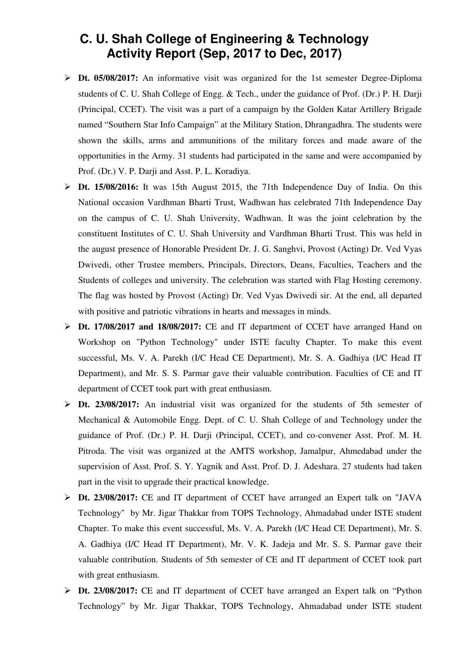## **C. U. Shah College of Engineering & Technology Activity Report (Sep, 2017 to Dec, 2017)**

- **Dt. 05/08/2017:** An informative visit was organized for the 1st semester Degree-Diploma students of C. U. Shah College of Engg. & Tech., under the guidance of Prof. (Dr.) P. H. Darji (Principal, CCET). The visit was a part of a campaign by the Golden Katar Artillery Brigade named "Southern Star Info Campaign" at the Military Station, Dhrangadhra. The students were shown the skills, arms and ammunitions of the military forces and made aware of the opportunities in the Army. 31 students had participated in the same and were accompanied by Prof. (Dr.) V. P. Darji and Asst. P. L. Koradiya.
- **Dt. 15/08/2016:** It was 15th August 2015, the 71th Independence Day of India. On this National occasion Vardhman Bharti Trust, Wadhwan has celebrated 71th Independence Day on the campus of C. U. Shah University, Wadhwan. It was the joint celebration by the constituent Institutes of C. U. Shah University and Vardhman Bharti Trust. This was held in the august presence of Honorable President Dr. J. G. Sanghvi, Provost (Acting) Dr. Ved Vyas Dwivedi, other Trustee members, Principals, Directors, Deans, Faculties, Teachers and the Students of colleges and university. The celebration was started with Flag Hosting ceremony. The flag was hosted by Provost (Acting) Dr. Ved Vyas Dwivedi sir. At the end, all departed with positive and patriotic vibrations in hearts and messages in minds.
- **Dt. 17/08/2017 and 18/08/2017:** CE and IT department of CCET have arranged Hand on Workshop on "Python Technology" under ISTE faculty Chapter. To make this event successful, Ms. V. A. Parekh (I/C Head CE Department), Mr. S. A. Gadhiya (I/C Head IT Department), and Mr. S. S. Parmar gave their valuable contribution. Faculties of CE and IT department of CCET took part with great enthusiasm.
- **Dt. 23/08/2017:** An industrial visit was organized for the students of 5th semester of Mechanical & Automobile Engg. Dept. of C. U. Shah College of and Technology under the guidance of Prof. (Dr.) P. H. Darji (Principal, CCET), and co-convener Asst. Prof. M. H. Pitroda. The visit was organized at the AMTS workshop, Jamalpur, Ahmedabad under the supervision of Asst. Prof. S. Y. Yagnik and Asst. Prof. D. J. Adeshara. 27 students had taken part in the visit to upgrade their practical knowledge.
- **Dt. 23/08/2017:** CE and IT department of CCET have arranged an Expert talk on "JAVA Technology" by Mr. Jigar Thakkar from TOPS Technology, Ahmadabad under ISTE student Chapter. To make this event successful, Ms. V. A. Parekh (I/C Head CE Department), Mr. S. A. Gadhiya (I/C Head IT Department), Mr. V. K. Jadeja and Mr. S. S. Parmar gave their valuable contribution. Students of 5th semester of CE and IT department of CCET took part with great enthusiasm.
- **Dt. 23/08/2017:** CE and IT department of CCET have arranged an Expert talk on "Python" Technology" by Mr. Jigar Thakkar, TOPS Technology, Ahmadabad under ISTE student